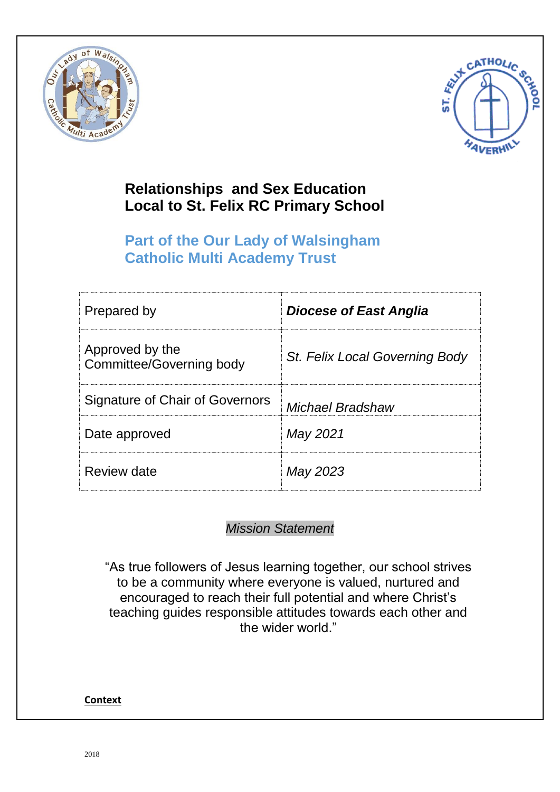



# **Relationships and Sex Education Local to St. Felix RC Primary School**

# **Part of the Our Lady of Walsingham Catholic Multi Academy Trust**

| Prepared by                                        | <b>Diocese of East Anglia</b>  |
|----------------------------------------------------|--------------------------------|
| Approved by the<br><b>Committee/Governing body</b> | St. Felix Local Governing Body |
| <b>Signature of Chair of Governors</b>             | <b>Michael Bradshaw</b>        |
| Date approved                                      | May 2021                       |
| Review date                                        | May 2023                       |

# *Mission Statement*

"As true followers of Jesus learning together, our school strives to be a community where everyone is valued, nurtured and encouraged to reach their full potential and where Christ's teaching guides responsible attitudes towards each other and the wider world."

# **Context**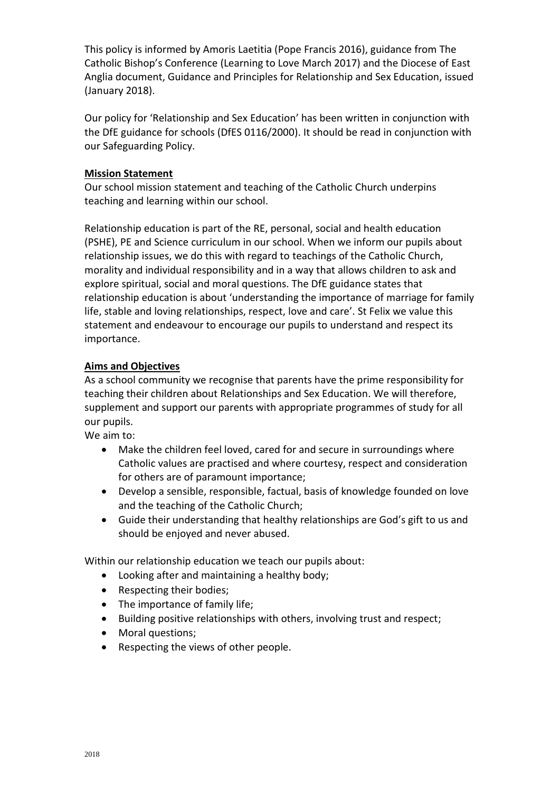This policy is informed by Amoris Laetitia (Pope Francis 2016), guidance from The Catholic Bishop's Conference (Learning to Love March 2017) and the Diocese of East Anglia document, Guidance and Principles for Relationship and Sex Education, issued (January 2018).

Our policy for 'Relationship and Sex Education' has been written in conjunction with the DfE guidance for schools (DfES 0116/2000). It should be read in conjunction with our Safeguarding Policy.

#### **Mission Statement**

Our school mission statement and teaching of the Catholic Church underpins teaching and learning within our school.

Relationship education is part of the RE, personal, social and health education (PSHE), PE and Science curriculum in our school. When we inform our pupils about relationship issues, we do this with regard to teachings of the Catholic Church, morality and individual responsibility and in a way that allows children to ask and explore spiritual, social and moral questions. The DfE guidance states that relationship education is about 'understanding the importance of marriage for family life, stable and loving relationships, respect, love and care'. St Felix we value this statement and endeavour to encourage our pupils to understand and respect its importance.

# **Aims and Objectives**

As a school community we recognise that parents have the prime responsibility for teaching their children about Relationships and Sex Education. We will therefore, supplement and support our parents with appropriate programmes of study for all our pupils.

We aim to:

- Make the children feel loved, cared for and secure in surroundings where Catholic values are practised and where courtesy, respect and consideration for others are of paramount importance;
- Develop a sensible, responsible, factual, basis of knowledge founded on love and the teaching of the Catholic Church;
- Guide their understanding that healthy relationships are God's gift to us and should be enjoyed and never abused.

Within our relationship education we teach our pupils about:

- Looking after and maintaining a healthy body;
- Respecting their bodies;
- The importance of family life;
- Building positive relationships with others, involving trust and respect;
- Moral questions;
- Respecting the views of other people.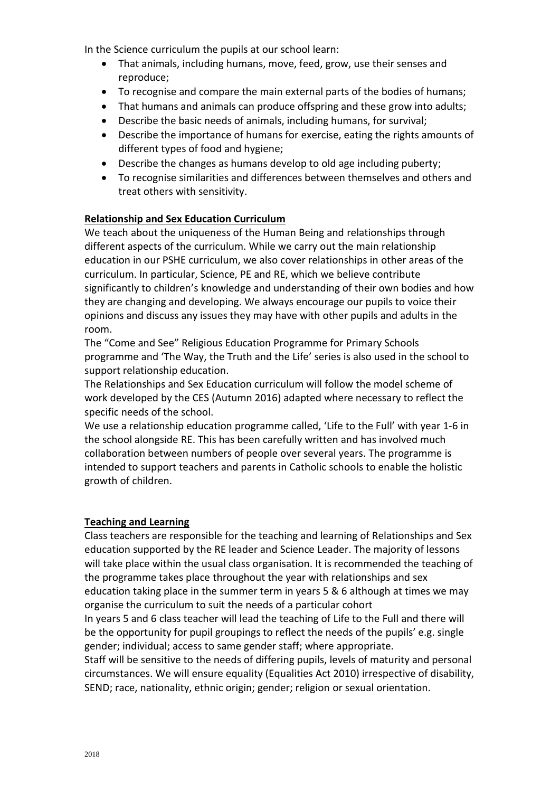In the Science curriculum the pupils at our school learn:

- That animals, including humans, move, feed, grow, use their senses and reproduce;
- To recognise and compare the main external parts of the bodies of humans;
- That humans and animals can produce offspring and these grow into adults;
- Describe the basic needs of animals, including humans, for survival;
- Describe the importance of humans for exercise, eating the rights amounts of different types of food and hygiene;
- Describe the changes as humans develop to old age including puberty;
- To recognise similarities and differences between themselves and others and treat others with sensitivity.

# **Relationship and Sex Education Curriculum**

We teach about the uniqueness of the Human Being and relationships through different aspects of the curriculum. While we carry out the main relationship education in our PSHE curriculum, we also cover relationships in other areas of the curriculum. In particular, Science, PE and RE, which we believe contribute significantly to children's knowledge and understanding of their own bodies and how they are changing and developing. We always encourage our pupils to voice their opinions and discuss any issues they may have with other pupils and adults in the room.

The "Come and See" Religious Education Programme for Primary Schools programme and 'The Way, the Truth and the Life' series is also used in the school to support relationship education.

The Relationships and Sex Education curriculum will follow the model scheme of work developed by the CES (Autumn 2016) adapted where necessary to reflect the specific needs of the school.

We use a relationship education programme called, 'Life to the Full' with year 1-6 in the school alongside RE. This has been carefully written and has involved much collaboration between numbers of people over several years. The programme is intended to support teachers and parents in Catholic schools to enable the holistic growth of children.

#### **Teaching and Learning**

Class teachers are responsible for the teaching and learning of Relationships and Sex education supported by the RE leader and Science Leader. The majority of lessons will take place within the usual class organisation. It is recommended the teaching of the programme takes place throughout the year with relationships and sex education taking place in the summer term in years 5 & 6 although at times we may organise the curriculum to suit the needs of a particular cohort

In years 5 and 6 class teacher will lead the teaching of Life to the Full and there will be the opportunity for pupil groupings to reflect the needs of the pupils' e.g. single gender; individual; access to same gender staff; where appropriate.

Staff will be sensitive to the needs of differing pupils, levels of maturity and personal circumstances. We will ensure equality (Equalities Act 2010) irrespective of disability, SEND; race, nationality, ethnic origin; gender; religion or sexual orientation.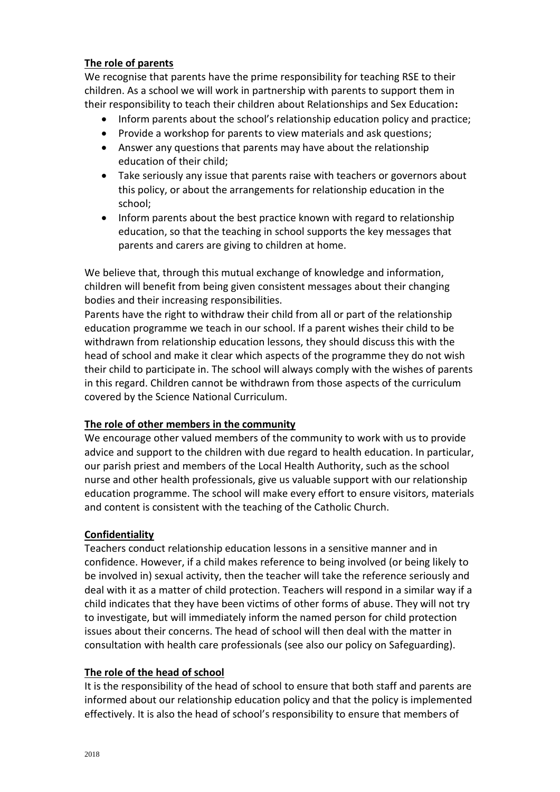# **The role of parents**

We recognise that parents have the prime responsibility for teaching RSE to their children. As a school we will work in partnership with parents to support them in their responsibility to teach their children about Relationships and Sex Education**:**

- Inform parents about the school's relationship education policy and practice;
- Provide a workshop for parents to view materials and ask questions;
- Answer any questions that parents may have about the relationship education of their child;
- Take seriously any issue that parents raise with teachers or governors about this policy, or about the arrangements for relationship education in the school;
- Inform parents about the best practice known with regard to relationship education, so that the teaching in school supports the key messages that parents and carers are giving to children at home.

We believe that, through this mutual exchange of knowledge and information, children will benefit from being given consistent messages about their changing bodies and their increasing responsibilities.

Parents have the right to withdraw their child from all or part of the relationship education programme we teach in our school. If a parent wishes their child to be withdrawn from relationship education lessons, they should discuss this with the head of school and make it clear which aspects of the programme they do not wish their child to participate in. The school will always comply with the wishes of parents in this regard. Children cannot be withdrawn from those aspects of the curriculum covered by the Science National Curriculum.

#### **The role of other members in the community**

We encourage other valued members of the community to work with us to provide advice and support to the children with due regard to health education. In particular, our parish priest and members of the Local Health Authority, such as the school nurse and other health professionals, give us valuable support with our relationship education programme. The school will make every effort to ensure visitors, materials and content is consistent with the teaching of the Catholic Church.

#### **Confidentiality**

Teachers conduct relationship education lessons in a sensitive manner and in confidence. However, if a child makes reference to being involved (or being likely to be involved in) sexual activity, then the teacher will take the reference seriously and deal with it as a matter of child protection. Teachers will respond in a similar way if a child indicates that they have been victims of other forms of abuse. They will not try to investigate, but will immediately inform the named person for child protection issues about their concerns. The head of school will then deal with the matter in consultation with health care professionals (see also our policy on Safeguarding).

#### **The role of the head of school**

It is the responsibility of the head of school to ensure that both staff and parents are informed about our relationship education policy and that the policy is implemented effectively. It is also the head of school's responsibility to ensure that members of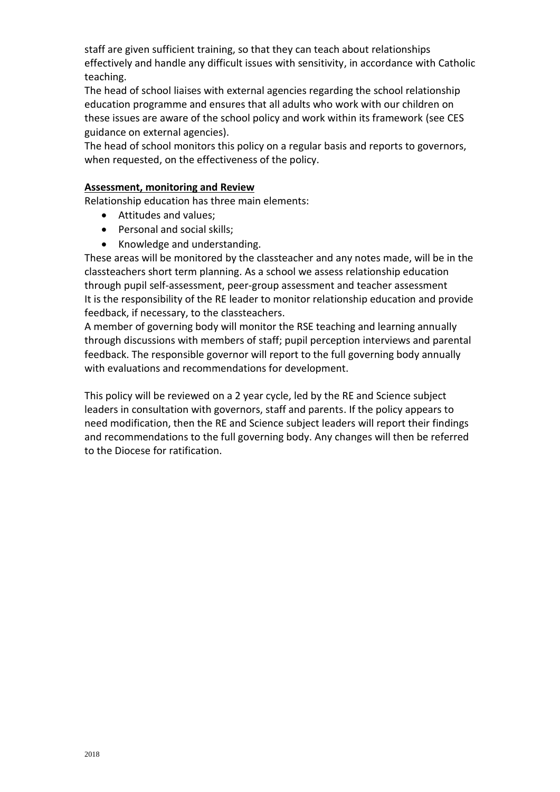staff are given sufficient training, so that they can teach about relationships effectively and handle any difficult issues with sensitivity, in accordance with Catholic teaching.

The head of school liaises with external agencies regarding the school relationship education programme and ensures that all adults who work with our children on these issues are aware of the school policy and work within its framework (see CES guidance on external agencies).

The head of school monitors this policy on a regular basis and reports to governors, when requested, on the effectiveness of the policy.

#### **Assessment, monitoring and Review**

Relationship education has three main elements:

- Attitudes and values;
- Personal and social skills;
- Knowledge and understanding.

These areas will be monitored by the classteacher and any notes made, will be in the classteachers short term planning. As a school we assess relationship education through pupil self-assessment, peer-group assessment and teacher assessment It is the responsibility of the RE leader to monitor relationship education and provide feedback, if necessary, to the classteachers.

A member of governing body will monitor the RSE teaching and learning annually through discussions with members of staff; pupil perception interviews and parental feedback. The responsible governor will report to the full governing body annually with evaluations and recommendations for development.

This policy will be reviewed on a 2 year cycle, led by the RE and Science subject leaders in consultation with governors, staff and parents. If the policy appears to need modification, then the RE and Science subject leaders will report their findings and recommendations to the full governing body. Any changes will then be referred to the Diocese for ratification.